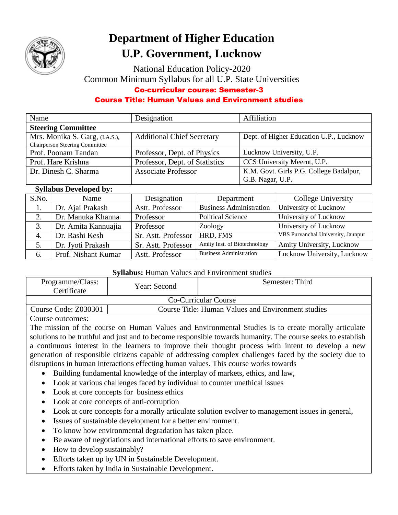

# **Department of Higher Education U.P. Government, Lucknow**

National Education Policy-2020 Common Minimum Syllabus for all U.P. State Universities Co-curricular course: Semester-3

## Course Title: Human Values and Environment studies

| Name                                  | Designation                       | Affiliation                             |
|---------------------------------------|-----------------------------------|-----------------------------------------|
| <b>Steering Committee</b>             |                                   |                                         |
| Mrs. Monika S. Garg, (I.A.S.),        | <b>Additional Chief Secretary</b> | Dept. of Higher Education U.P., Lucknow |
| <b>Chairperson Steering Committee</b> |                                   |                                         |
| Prof. Poonam Tandan                   | Professor, Dept. of Physics       | Lucknow University, U.P.                |
| Prof. Hare Krishna                    | Professor, Dept. of Statistics    | CCS University Meerut, U.P.             |
| Dr. Dinesh C. Sharma                  | <b>Associate Professor</b>        | K.M. Govt. Girls P.G. College Badalpur, |
|                                       |                                   | G.B. Nagar, U.P.                        |

### **Syllabus Developed by:**

| S.No. | Name                | Designation         | Department                     | College University                 |
|-------|---------------------|---------------------|--------------------------------|------------------------------------|
| 1.    | Dr. Ajai Prakash    | Astt. Professor     | <b>Business Administration</b> | University of Lucknow              |
| 2.    | Dr. Manuka Khanna   | Professor           | <b>Political Science</b>       | University of Lucknow              |
| 3.    | Dr. Amita Kannuajia | Professor           | Zoology                        | University of Lucknow              |
| 4.    | Dr. Rashi Kesh      | Sr. Astt. Professor | HRD, FMS                       | VBS Purvanchal University, Jaunpur |
| 5.    | Dr. Jyoti Prakash   | Sr. Astt. Professor | Amity Inst. of Biotechnology   | Amity University, Lucknow          |
| 6.    | Prof. Nishant Kumar | Astt. Professor     | <b>Business Administration</b> | Lucknow University, Lucknow        |

### **Syllabus:** Human Values and Environment studies

| Programme/Class:<br>Certificate | Year: Second                                       | Semester: Third |  |
|---------------------------------|----------------------------------------------------|-----------------|--|
| <b>Co-Curricular Course</b>     |                                                    |                 |  |
| Course Code: Z030301            | Course Title: Human Values and Environment studies |                 |  |
|                                 |                                                    |                 |  |

### Course outcomes:

The mission of the course on Human Values and Environmental Studies is to create morally articulate solutions to be truthful and just and to become responsible towards humanity. The course seeks to establish a continuous interest in the learners to improve their thought process with intent to develop a new generation of responsible citizens capable of addressing complex challenges faced by the society due to disruptions in human interactions effecting human values. This course works towards

- Building fundamental knowledge of the interplay of markets, ethics, and law,
- Look at various challenges faced by individual to counter unethical issues
- Look at core concepts for business ethics
- Look at core concepts of anti-corruption
- Look at core concepts for a morally articulate solution evolver to management issues in general,
- Issues of sustainable development for a better environment.
- To know how environmental degradation has taken place.
- Be aware of negotiations and international efforts to save environment.
- How to develop sustainably?
- Efforts taken up by UN in Sustainable Development.
- Efforts taken by India in Sustainable Development.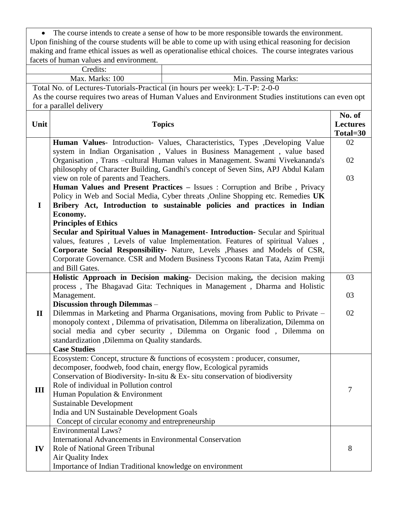| $\bullet$                                                                                               | The course intends to create a sense of how to be more responsible towards the environment. |                                                                                                          |                 |  |  |
|---------------------------------------------------------------------------------------------------------|---------------------------------------------------------------------------------------------|----------------------------------------------------------------------------------------------------------|-----------------|--|--|
| Upon finishing of the course students will be able to come up with using ethical reasoning for decision |                                                                                             |                                                                                                          |                 |  |  |
|                                                                                                         |                                                                                             | making and frame ethical issues as well as operationalise ethical choices. The course integrates various |                 |  |  |
|                                                                                                         | facets of human values and environment.                                                     |                                                                                                          |                 |  |  |
|                                                                                                         | Credits:                                                                                    |                                                                                                          |                 |  |  |
|                                                                                                         | Max. Marks: 100<br>Min. Passing Marks:                                                      |                                                                                                          |                 |  |  |
|                                                                                                         |                                                                                             | Total No. of Lectures-Tutorials-Practical (in hours per week): L-T-P: 2-0-0                              |                 |  |  |
|                                                                                                         |                                                                                             | As the course requires two areas of Human Values and Environment Studies institutions can even opt       |                 |  |  |
|                                                                                                         | for a parallel delivery                                                                     |                                                                                                          |                 |  |  |
|                                                                                                         |                                                                                             |                                                                                                          | No. of          |  |  |
| Unit                                                                                                    | <b>Topics</b>                                                                               |                                                                                                          | <b>Lectures</b> |  |  |
|                                                                                                         |                                                                                             |                                                                                                          | Total=30        |  |  |
|                                                                                                         |                                                                                             | Human Values- Introduction- Values, Characteristics, Types ,Developing Value                             | 02              |  |  |
|                                                                                                         |                                                                                             | system in Indian Organisation, Values in Business Management, value based                                |                 |  |  |
|                                                                                                         |                                                                                             | Organisation, Trans -cultural Human values in Management. Swami Vivekananda's                            | 02              |  |  |
|                                                                                                         |                                                                                             | philosophy of Character Building, Gandhi's concept of Seven Sins, APJ Abdul Kalam                        |                 |  |  |
|                                                                                                         | view on role of parents and Teachers.                                                       |                                                                                                          | 03              |  |  |
|                                                                                                         |                                                                                             | Human Values and Present Practices - Issues : Corruption and Bribe, Privacy                              |                 |  |  |
|                                                                                                         |                                                                                             | Policy in Web and Social Media, Cyber threats , Online Shopping etc. Remedies UK                         |                 |  |  |
| $\bf{I}$                                                                                                |                                                                                             | Bribery Act, Introduction to sustainable policies and practices in Indian                                |                 |  |  |
|                                                                                                         | Economy.                                                                                    |                                                                                                          |                 |  |  |
|                                                                                                         | <b>Principles of Ethics</b>                                                                 |                                                                                                          |                 |  |  |
|                                                                                                         |                                                                                             | Secular and Spiritual Values in Management- Introduction- Secular and Spiritual                          |                 |  |  |
|                                                                                                         |                                                                                             | values, features, Levels of value Implementation. Features of spiritual Values,                          |                 |  |  |
|                                                                                                         |                                                                                             | Corporate Social Responsibility- Nature, Levels ,Phases and Models of CSR,                               |                 |  |  |
|                                                                                                         |                                                                                             | Corporate Governance. CSR and Modern Business Tycoons Ratan Tata, Azim Premji                            |                 |  |  |
|                                                                                                         | and Bill Gates.                                                                             |                                                                                                          |                 |  |  |
|                                                                                                         |                                                                                             | Holistic Approach in Decision making- Decision making, the decision making                               | 03              |  |  |
|                                                                                                         |                                                                                             | process, The Bhagavad Gita: Techniques in Management, Dharma and Holistic                                |                 |  |  |
|                                                                                                         | Management.                                                                                 |                                                                                                          | 03              |  |  |
|                                                                                                         | Discussion through Dilemmas -                                                               |                                                                                                          |                 |  |  |
| $\mathbf{I}$                                                                                            |                                                                                             | Dilemmas in Marketing and Pharma Organisations, moving from Public to Private -                          | 02              |  |  |
|                                                                                                         |                                                                                             | monopoly context, Dilemma of privatisation, Dilemma on liberalization, Dilemma on                        |                 |  |  |
|                                                                                                         |                                                                                             | social media and cyber security, Dilemma on Organic food, Dilemma on                                     |                 |  |  |
|                                                                                                         | standardization , Dilemma on Quality standards.                                             |                                                                                                          |                 |  |  |
|                                                                                                         | <b>Case Studies</b>                                                                         |                                                                                                          |                 |  |  |
|                                                                                                         |                                                                                             | Ecosystem: Concept, structure & functions of ecosystem : producer, consumer,                             |                 |  |  |
|                                                                                                         | decomposer, foodweb, food chain, energy flow, Ecological pyramids                           |                                                                                                          |                 |  |  |
|                                                                                                         |                                                                                             | Conservation of Biodiversity- In-situ & Ex- situ conservation of biodiversity                            |                 |  |  |
| III                                                                                                     | Role of individual in Pollution control                                                     |                                                                                                          | 7               |  |  |
|                                                                                                         | Human Population & Environment                                                              |                                                                                                          |                 |  |  |
|                                                                                                         | <b>Sustainable Development</b>                                                              |                                                                                                          |                 |  |  |
|                                                                                                         | India and UN Sustainable Development Goals                                                  |                                                                                                          |                 |  |  |
|                                                                                                         | Concept of circular economy and entrepreneurship                                            |                                                                                                          |                 |  |  |
|                                                                                                         | <b>Environmental Laws?</b>                                                                  |                                                                                                          |                 |  |  |
|                                                                                                         | International Advancements in Environmental Conservation                                    |                                                                                                          |                 |  |  |
| IV                                                                                                      | Role of National Green Tribunal                                                             |                                                                                                          | 8               |  |  |
|                                                                                                         | Air Quality Index                                                                           |                                                                                                          |                 |  |  |
|                                                                                                         | Importance of Indian Traditional knowledge on environment                                   |                                                                                                          |                 |  |  |